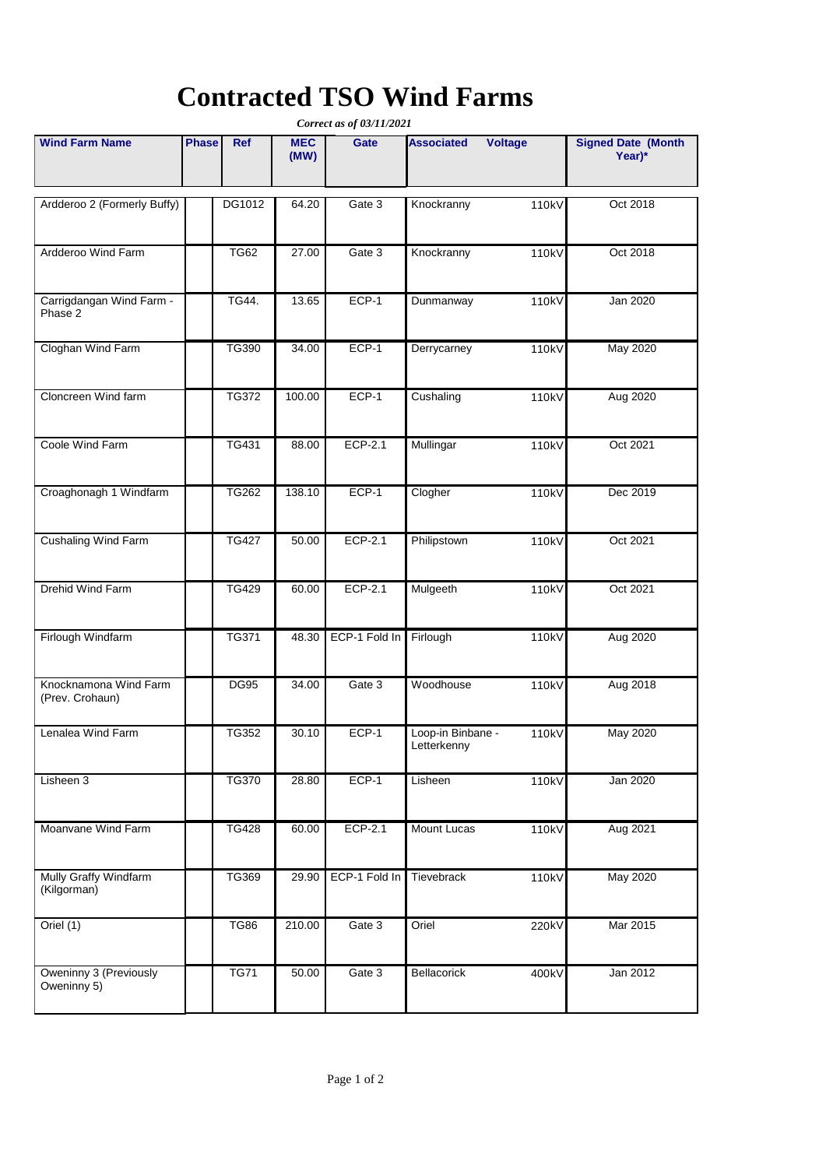# **Contracted TSO Wind Farms**

| Correct as of 03/11/2021                 |              |              |                    |               |                                  |         |                                     |  |  |  |  |
|------------------------------------------|--------------|--------------|--------------------|---------------|----------------------------------|---------|-------------------------------------|--|--|--|--|
| <b>Wind Farm Name</b>                    | <b>Phase</b> | Ref          | <b>MEC</b><br>(MW) | Gate          | <b>Associated</b>                | Voltage | <b>Signed Date (Month</b><br>Year)* |  |  |  |  |
| Ardderoo 2 (Formerly Buffy)              |              | DG1012       | 64.20              | Gate 3        | Knockranny                       | 110kV   | Oct 2018                            |  |  |  |  |
| Ardderoo Wind Farm                       |              | <b>TG62</b>  | 27.00              | Gate 3        | Knockranny                       | 110kV   | Oct 2018                            |  |  |  |  |
| Carrigdangan Wind Farm -<br>Phase 2      |              | TG44.        | 13.65              | ECP-1         | Dunmanway                        | 110kV   | Jan 2020                            |  |  |  |  |
| Cloghan Wind Farm                        |              | TG390        | 34.00              | ECP-1         | Derrycarney                      | 110kV   | <b>May 2020</b>                     |  |  |  |  |
| Cloncreen Wind farm                      |              | <b>TG372</b> | 100.00             | $ECP-1$       | Cushaling                        | 110kV   | Aug 2020                            |  |  |  |  |
| Coole Wind Farm                          |              | TG431        | 88.00              | ECP-2.1       | Mullingar                        | 110kV   | Oct 2021                            |  |  |  |  |
| Croaghonagh 1 Windfarm                   |              | TG262        | 138.10             | ECP-1         | Clogher                          | 110kV   | Dec 2019                            |  |  |  |  |
| <b>Cushaling Wind Farm</b>               |              | <b>TG427</b> | 50.00              | ECP-2.1       | Philipstown                      | 110kV   | Oct 2021                            |  |  |  |  |
| Drehid Wind Farm                         |              | <b>TG429</b> | 60.00              | ECP-2.1       | Mulgeeth                         | 110kV   | Oct 2021                            |  |  |  |  |
| Firlough Windfarm                        |              | <b>TG371</b> | 48.30              | ECP-1 Fold In | Firlough                         | 110kV   | Aug 2020                            |  |  |  |  |
| Knocknamona Wind Farm<br>(Prev. Crohaun) |              | <b>DG95</b>  | 34.00              | Gate 3        | Woodhouse                        | 110kV   | Aug 2018                            |  |  |  |  |
| Lenalea Wind Farm                        |              | TG352        | 30.10              | ECP-1         | Loop-in Binbane -<br>Letterkenny | 110kV   | <b>May 2020</b>                     |  |  |  |  |
| Lisheen 3                                |              | <b>TG370</b> | 28.80              | $ECP-1$       | Lisheen                          | 110kV   | Jan 2020                            |  |  |  |  |
| Moanvane Wind Farm                       |              | <b>TG428</b> | 60.00              | ECP-2.1       | Mount Lucas                      | 110kV   | Aug 2021                            |  |  |  |  |
| Mully Graffy Windfarm<br>(Kilgorman)     |              | TG369        | 29.90              | ECP-1 Fold In | Tievebrack                       | 110kV   | May 2020                            |  |  |  |  |
| Oriel (1)                                |              | <b>TG86</b>  | 210.00             | Gate 3        | Oriel                            | 220kV   | Mar 2015                            |  |  |  |  |
| Oweninny 3 (Previously<br>Oweninny 5)    |              | <b>TG71</b>  | 50.00              | Gate 3        | Bellacorick                      | 400kV   | Jan 2012                            |  |  |  |  |